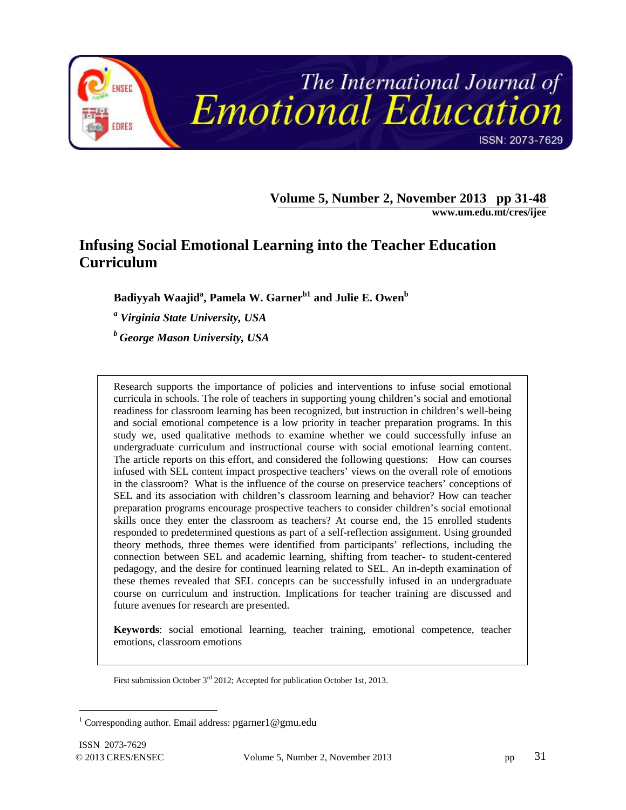

**Volume 5, Number 2, November 2013 pp 31-48**

**www.um.edu.mt/cres/ijee**

# **Infusing Social Emotional Learning into the Teacher Education Curriculum**

**Badiyyah Waajid<sup>a</sup> , Pamela W. Garnerb1 and Julie E. Owen<sup>b</sup>**

*a Virginia State University, USA*

*<sup>b</sup>George Mason University, USA*

Research supports the importance of policies and interventions to infuse social emotional curricula in schools. The role of teachers in supporting young children's social and emotional readiness for classroom learning has been recognized, but instruction in children's well-being and social emotional competence is a low priority in teacher preparation programs. In this study we, used qualitative methods to examine whether we could successfully infuse an undergraduate curriculum and instructional course with social emotional learning content. The article reports on this effort, and considered the following questions: How can courses infused with SEL content impact prospective teachers' views on the overall role of emotions in the classroom? What is the influence of the course on preservice teachers' conceptions of SEL and its association with children's classroom learning and behavior? How can teacher preparation programs encourage prospective teachers to consider children's social emotional skills once they enter the classroom as teachers? At course end, the 15 enrolled students responded to predetermined questions as part of a self-reflection assignment. Using grounded theory methods, three themes were identified from participants' reflections, including the connection between SEL and academic learning, shifting from teacher- to student-centered pedagogy, and the desire for continued learning related to SEL. An in-depth examination of these themes revealed that SEL concepts can be successfully infused in an undergraduate course on curriculum and instruction. Implications for teacher training are discussed and future avenues for research are presented.

**Keywords**: social emotional learning, teacher training, emotional competence, teacher emotions, classroom emotions

First submission October 3rd 2012; Accepted for publication October 1st, 2013.

 $\overline{a}$ 

<sup>&</sup>lt;sup>1</sup> Corresponding author. Email address: pgarner1@gmu.edu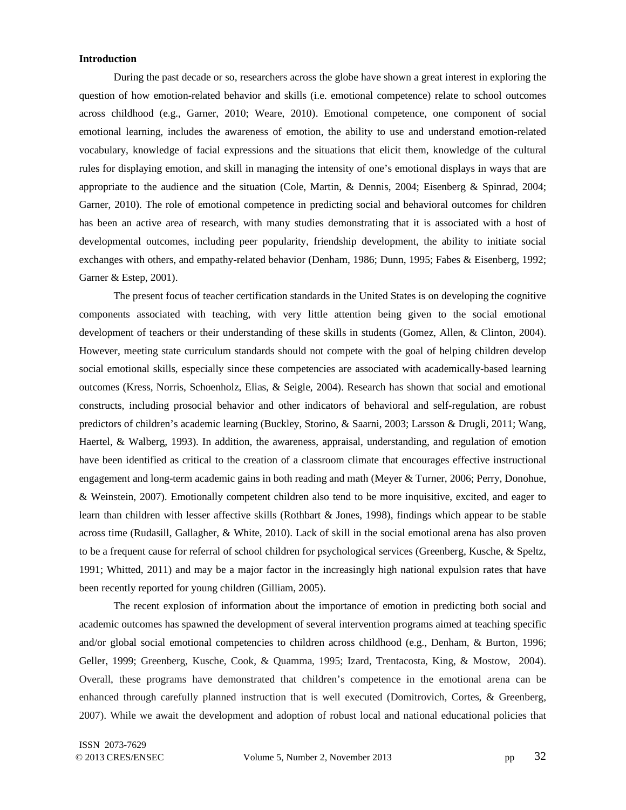## **Introduction**

During the past decade or so, researchers across the globe have shown a great interest in exploring the question of how emotion-related behavior and skills (i.e. emotional competence) relate to school outcomes across childhood (e.g., Garner, 2010; Weare, 2010). Emotional competence, one component of social emotional learning, includes the awareness of emotion, the ability to use and understand emotion-related vocabulary, knowledge of facial expressions and the situations that elicit them, knowledge of the cultural rules for displaying emotion, and skill in managing the intensity of one's emotional displays in ways that are appropriate to the audience and the situation (Cole, Martin, & Dennis, 2004; Eisenberg & Spinrad, 2004; Garner, 2010). The role of emotional competence in predicting social and behavioral outcomes for children has been an active area of research, with many studies demonstrating that it is associated with a host of developmental outcomes, including peer popularity, friendship development, the ability to initiate social exchanges with others, and empathy-related behavior (Denham, 1986; Dunn, 1995; Fabes & Eisenberg, 1992; Garner & Estep, 2001).

The present focus of teacher certification standards in the United States is on developing the cognitive components associated with teaching, with very little attention being given to the social emotional development of teachers or their understanding of these skills in students (Gomez, Allen, & Clinton, 2004). However, meeting state curriculum standards should not compete with the goal of helping children develop social emotional skills, especially since these competencies are associated with academically-based learning outcomes (Kress, Norris, Schoenholz, Elias, & Seigle, 2004). Research has shown that social and emotional constructs, including prosocial behavior and other indicators of behavioral and self-regulation, are robust predictors of children's academic learning (Buckley, Storino, & Saarni, 2003; Larsson & Drugli, 2011; Wang, Haertel, & Walberg, 1993). In addition, the awareness, appraisal, understanding, and regulation of emotion have been identified as critical to the creation of a classroom climate that encourages effective instructional engagement and long-term academic gains in both reading and math (Meyer & Turner, 2006; Perry, Donohue, & Weinstein, 2007). Emotionally competent children also tend to be more inquisitive, excited, and eager to learn than children with lesser affective skills (Rothbart & Jones, 1998), findings which appear to be stable across time (Rudasill, Gallagher, & White, 2010). Lack of skill in the social emotional arena has also proven to be a frequent cause for referral of school children for psychological services (Greenberg, Kusche, & Speltz, 1991; Whitted, 2011) and may be a major factor in the increasingly high national expulsion rates that have been recently reported for young children (Gilliam, 2005).

The recent explosion of information about the importance of emotion in predicting both social and academic outcomes has spawned the development of several intervention programs aimed at teaching specific and/or global social emotional competencies to children across childhood (e.g., Denham, & Burton, 1996; Geller, 1999; Greenberg, Kusche, Cook, & Quamma, 1995; Izard, Trentacosta, King, & Mostow, 2004). Overall, these programs have demonstrated that children's competence in the emotional arena can be enhanced through carefully planned instruction that is well executed (Domitrovich, Cortes, & Greenberg, 2007). While we await the development and adoption of robust local and national educational policies that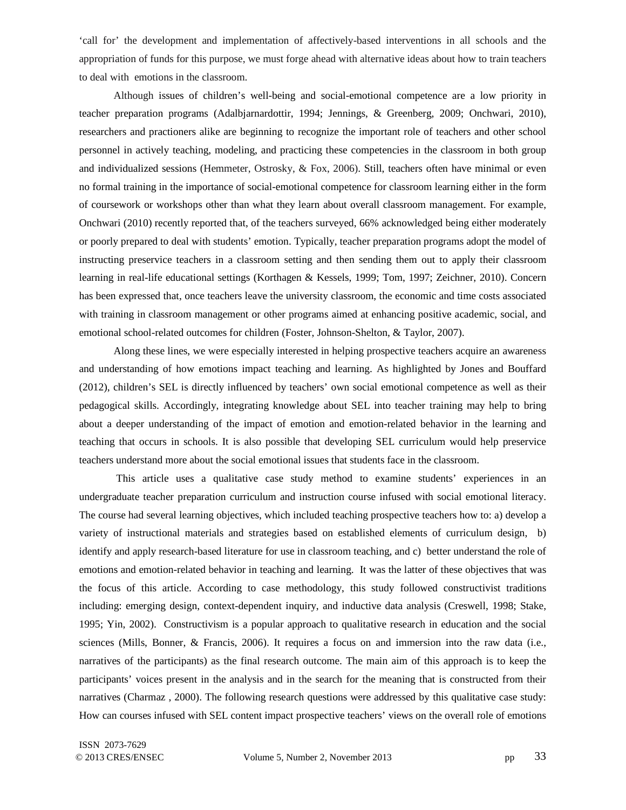'call for' the development and implementation of affectively-based interventions in all schools and the appropriation of funds for this purpose, we must forge ahead with alternative ideas about how to train teachers to deal with emotions in the classroom.

Although issues of children's well-being and social-emotional competence are a low priority in teacher preparation programs (Adalbjarnardottir, 1994; Jennings, & Greenberg, 2009; Onchwari, 2010), researchers and practioners alike are beginning to recognize the important role of teachers and other school personnel in actively teaching, modeling, and practicing these competencies in the classroom in both group and individualized sessions (Hemmeter, Ostrosky, & Fox, 2006). Still, teachers often have minimal or even no formal training in the importance of social-emotional competence for classroom learning either in the form of coursework or workshops other than what they learn about overall classroom management. For example, Onchwari (2010) recently reported that, of the teachers surveyed, 66% acknowledged being either moderately or poorly prepared to deal with students' emotion. Typically, teacher preparation programs adopt the model of instructing preservice teachers in a classroom setting and then sending them out to apply their classroom learning in real-life educational settings (Korthagen & Kessels, 1999; Tom, 1997; Zeichner, 2010). Concern has been expressed that, once teachers leave the university classroom, the economic and time costs associated with training in classroom management or other programs aimed at enhancing positive academic, social, and emotional school-related outcomes for children (Foster, Johnson-Shelton, & Taylor, 2007).

Along these lines, we were especially interested in helping prospective teachers acquire an awareness and understanding of how emotions impact teaching and learning. As highlighted by Jones and Bouffard (2012), children's SEL is directly influenced by teachers' own social emotional competence as well as their pedagogical skills. Accordingly, integrating knowledge about SEL into teacher training may help to bring about a deeper understanding of the impact of emotion and emotion-related behavior in the learning and teaching that occurs in schools. It is also possible that developing SEL curriculum would help preservice teachers understand more about the social emotional issues that students face in the classroom.

 This article uses a qualitative case study method to examine students' experiences in an undergraduate teacher preparation curriculum and instruction course infused with social emotional literacy. The course had several learning objectives, which included teaching prospective teachers how to: a) develop a variety of instructional materials and strategies based on established elements of curriculum design, b) identify and apply research-based literature for use in classroom teaching, and c) better understand the role of emotions and emotion-related behavior in teaching and learning. It was the latter of these objectives that was the focus of this article. According to case methodology, this study followed constructivist traditions including: emerging design, context-dependent inquiry, and inductive data analysis (Creswell, 1998; Stake, 1995; Yin, 2002). Constructivism is a popular approach to qualitative research in education and the social sciences (Mills, Bonner, & Francis, 2006). It requires a focus on and immersion into the raw data (i.e., narratives of the participants) as the final research outcome. The main aim of this approach is to keep the participants' voices present in the analysis and in the search for the meaning that is constructed from their narratives (Charmaz , 2000). The following research questions were addressed by this qualitative case study: How can courses infused with SEL content impact prospective teachers' views on the overall role of emotions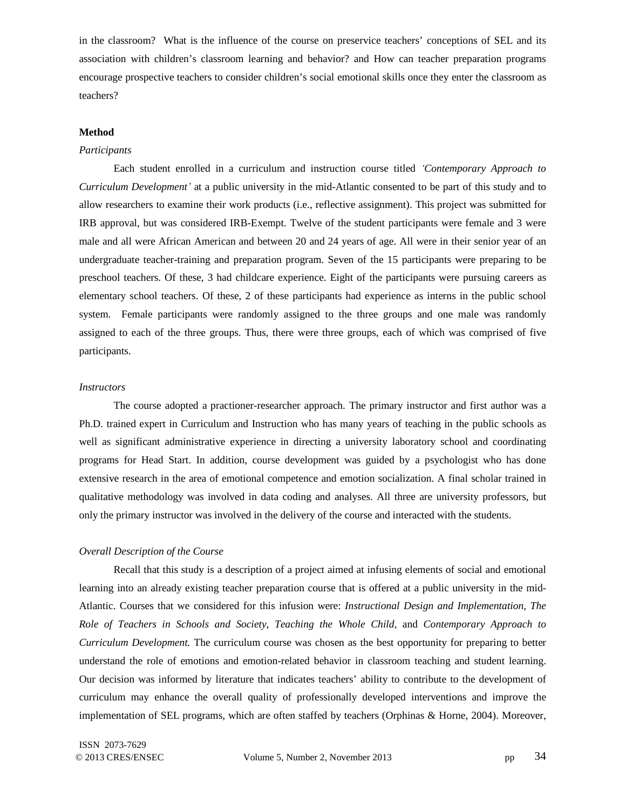in the classroom? What is the influence of the course on preservice teachers' conceptions of SEL and its association with children's classroom learning and behavior? and How can teacher preparation programs encourage prospective teachers to consider children's social emotional skills once they enter the classroom as teachers?

#### **Method**

# *Participants*

Each student enrolled in a curriculum and instruction course titled *ʻContemporary Approach to Curriculum Development'* at a public university in the mid-Atlantic consented to be part of this study and to allow researchers to examine their work products (i.e., reflective assignment). This project was submitted for IRB approval, but was considered IRB-Exempt. Twelve of the student participants were female and 3 were male and all were African American and between 20 and 24 years of age. All were in their senior year of an undergraduate teacher-training and preparation program. Seven of the 15 participants were preparing to be preschool teachers. Of these, 3 had childcare experience. Eight of the participants were pursuing careers as elementary school teachers. Of these, 2 of these participants had experience as interns in the public school system. Female participants were randomly assigned to the three groups and one male was randomly assigned to each of the three groups. Thus, there were three groups, each of which was comprised of five participants.

# *Instructors*

The course adopted a practioner-researcher approach. The primary instructor and first author was a Ph.D. trained expert in Curriculum and Instruction who has many years of teaching in the public schools as well as significant administrative experience in directing a university laboratory school and coordinating programs for Head Start. In addition, course development was guided by a psychologist who has done extensive research in the area of emotional competence and emotion socialization. A final scholar trained in qualitative methodology was involved in data coding and analyses. All three are university professors, but only the primary instructor was involved in the delivery of the course and interacted with the students.

#### *Overall Description of the Course*

Recall that this study is a description of a project aimed at infusing elements of social and emotional learning into an already existing teacher preparation course that is offered at a public university in the mid-Atlantic. Courses that we considered for this infusion were: *Instructional Design and Implementation, The Role of Teachers in Schools and Society, Teaching the Whole Child,* and *Contemporary Approach to Curriculum Development.* The curriculum course was chosen as the best opportunity for preparing to better understand the role of emotions and emotion-related behavior in classroom teaching and student learning. Our decision was informed by literature that indicates teachers' ability to contribute to the development of curriculum may enhance the overall quality of professionally developed interventions and improve the implementation of SEL programs, which are often staffed by teachers (Orphinas & Horne, 2004). Moreover,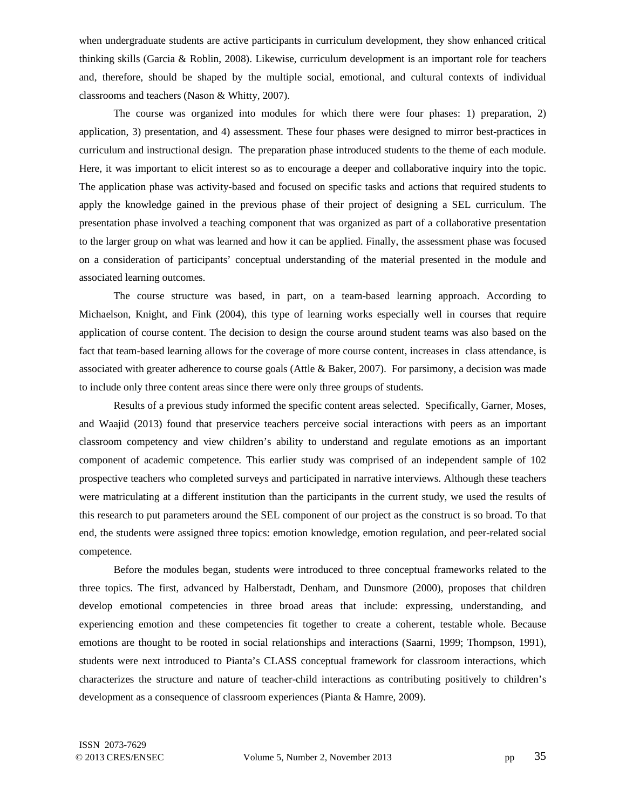when undergraduate students are active participants in curriculum development, they show enhanced critical thinking skills (Garcia & Roblin, 2008). Likewise, curriculum development is an important role for teachers and, therefore, should be shaped by the multiple social, emotional, and cultural contexts of individual classrooms and teachers (Nason & Whitty, 2007).

The course was organized into modules for which there were four phases: 1) preparation, 2) application, 3) presentation, and 4) assessment. These four phases were designed to mirror best-practices in curriculum and instructional design. The preparation phase introduced students to the theme of each module. Here, it was important to elicit interest so as to encourage a deeper and collaborative inquiry into the topic. The application phase was activity-based and focused on specific tasks and actions that required students to apply the knowledge gained in the previous phase of their project of designing a SEL curriculum. The presentation phase involved a teaching component that was organized as part of a collaborative presentation to the larger group on what was learned and how it can be applied. Finally, the assessment phase was focused on a consideration of participants' conceptual understanding of the material presented in the module and associated learning outcomes.

The course structure was based, in part, on a team-based learning approach. According to Michaelson, Knight, and Fink (2004), this type of learning works especially well in courses that require application of course content. The decision to design the course around student teams was also based on the fact that team-based learning allows for the coverage of more course content, increases in class attendance, is associated with greater adherence to course goals (Attle & Baker, 2007). For parsimony, a decision was made to include only three content areas since there were only three groups of students.

Results of a previous study informed the specific content areas selected. Specifically, Garner, Moses, and Waajid (2013) found that preservice teachers perceive social interactions with peers as an important classroom competency and view children's ability to understand and regulate emotions as an important component of academic competence. This earlier study was comprised of an independent sample of 102 prospective teachers who completed surveys and participated in narrative interviews. Although these teachers were matriculating at a different institution than the participants in the current study, we used the results of this research to put parameters around the SEL component of our project as the construct is so broad. To that end, the students were assigned three topics: emotion knowledge, emotion regulation, and peer-related social competence.

Before the modules began, students were introduced to three conceptual frameworks related to the three topics. The first, advanced by Halberstadt, Denham, and Dunsmore (2000), proposes that children develop emotional competencies in three broad areas that include: expressing, understanding, and experiencing emotion and these competencies fit together to create a coherent, testable whole. Because emotions are thought to be rooted in social relationships and interactions (Saarni, 1999; Thompson, 1991), students were next introduced to Pianta's CLASS conceptual framework for classroom interactions, which characterizes the structure and nature of teacher-child interactions as contributing positively to children's development as a consequence of classroom experiences (Pianta & Hamre, 2009).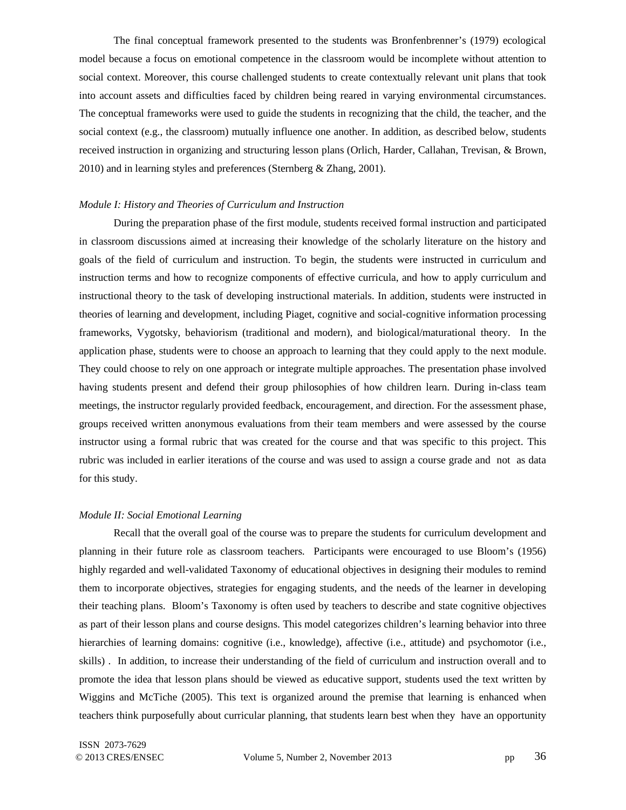The final conceptual framework presented to the students was Bronfenbrenner's (1979) ecological model because a focus on emotional competence in the classroom would be incomplete without attention to social context. Moreover, this course challenged students to create contextually relevant unit plans that took into account assets and difficulties faced by children being reared in varying environmental circumstances. The conceptual frameworks were used to guide the students in recognizing that the child, the teacher, and the social context (e.g., the classroom) mutually influence one another. In addition, as described below, students received instruction in organizing and structuring lesson plans (Orlich, Harder, Callahan, Trevisan, & Brown, 2010) and in learning styles and preferences (Sternberg & Zhang, 2001).

## *Module I: History and Theories of Curriculum and Instruction*

During the preparation phase of the first module, students received formal instruction and participated in classroom discussions aimed at increasing their knowledge of the scholarly literature on the history and goals of the field of curriculum and instruction. To begin, the students were instructed in curriculum and instruction terms and how to recognize components of effective curricula, and how to apply curriculum and instructional theory to the task of developing instructional materials. In addition, students were instructed in theories of learning and development, including Piaget, cognitive and social-cognitive information processing frameworks, Vygotsky, behaviorism (traditional and modern), and biological/maturational theory. In the application phase, students were to choose an approach to learning that they could apply to the next module. They could choose to rely on one approach or integrate multiple approaches. The presentation phase involved having students present and defend their group philosophies of how children learn. During in-class team meetings, the instructor regularly provided feedback, encouragement, and direction. For the assessment phase, groups received written anonymous evaluations from their team members and were assessed by the course instructor using a formal rubric that was created for the course and that was specific to this project. This rubric was included in earlier iterations of the course and was used to assign a course grade and not as data for this study.

#### *Module II: Social Emotional Learning*

Recall that the overall goal of the course was to prepare the students for curriculum development and planning in their future role as classroom teachers. Participants were encouraged to use Bloom's (1956) highly regarded and well-validated Taxonomy of educational objectives in designing their modules to remind them to incorporate objectives, strategies for engaging students, and the needs of the learner in developing their teaching plans. Bloom's Taxonomy is often used by teachers to describe and state cognitive objectives as part of their lesson plans and course designs. This model categorizes children's learning behavior into three hierarchies of learning domains: cognitive (i.e., knowledge), affective (i.e., attitude) and psychomotor (i.e., skills) . In addition, to increase their understanding of the field of curriculum and instruction overall and to promote the idea that lesson plans should be viewed as educative support, students used the text written by Wiggins and McTiche (2005). This text is organized around the premise that learning is enhanced when teachers think purposefully about curricular planning, that students learn best when they have an opportunity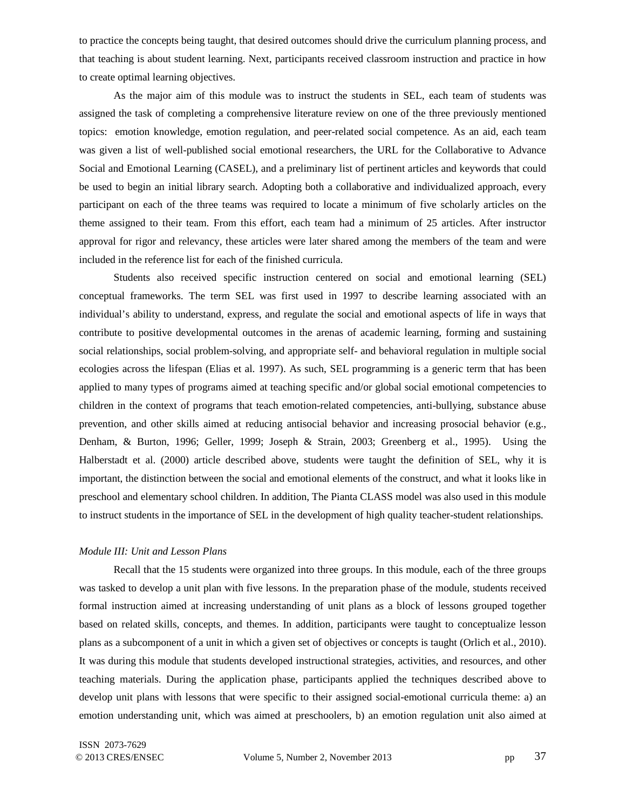to practice the concepts being taught, that desired outcomes should drive the curriculum planning process, and that teaching is about student learning. Next, participants received classroom instruction and practice in how to create optimal learning objectives.

As the major aim of this module was to instruct the students in SEL, each team of students was assigned the task of completing a comprehensive literature review on one of the three previously mentioned topics: emotion knowledge, emotion regulation, and peer-related social competence. As an aid, each team was given a list of well-published social emotional researchers, the URL for the Collaborative to Advance Social and Emotional Learning (CASEL), and a preliminary list of pertinent articles and keywords that could be used to begin an initial library search. Adopting both a collaborative and individualized approach, every participant on each of the three teams was required to locate a minimum of five scholarly articles on the theme assigned to their team. From this effort, each team had a minimum of 25 articles. After instructor approval for rigor and relevancy, these articles were later shared among the members of the team and were included in the reference list for each of the finished curricula.

Students also received specific instruction centered on social and emotional learning (SEL) conceptual frameworks. The term SEL was first used in 1997 to describe learning associated with an individual's ability to understand, express, and regulate the social and emotional aspects of life in ways that contribute to positive developmental outcomes in the arenas of academic learning, forming and sustaining social relationships, social problem-solving, and appropriate self- and behavioral regulation in multiple social ecologies across the lifespan (Elias et al. 1997). As such, SEL programming is a generic term that has been applied to many types of programs aimed at teaching specific and/or global social emotional competencies to children in the context of programs that teach emotion-related competencies, anti-bullying, substance abuse prevention, and other skills aimed at reducing antisocial behavior and increasing prosocial behavior (e.g., Denham, & Burton, 1996; Geller, 1999; Joseph & Strain, 2003; Greenberg et al., 1995). Using the Halberstadt et al. (2000) article described above, students were taught the definition of SEL, why it is important, the distinction between the social and emotional elements of the construct, and what it looks like in preschool and elementary school children. In addition, The Pianta CLASS model was also used in this module to instruct students in the importance of SEL in the development of high quality teacher-student relationships.

## *Module III: Unit and Lesson Plans*

Recall that the 15 students were organized into three groups. In this module, each of the three groups was tasked to develop a unit plan with five lessons. In the preparation phase of the module, students received formal instruction aimed at increasing understanding of unit plans as a block of lessons grouped together based on related skills, concepts, and themes. In addition, participants were taught to conceptualize lesson plans as a subcomponent of a unit in which a given set of objectives or concepts is taught (Orlich et al., 2010). It was during this module that students developed instructional strategies, activities, and resources, and other teaching materials. During the application phase, participants applied the techniques described above to develop unit plans with lessons that were specific to their assigned social-emotional curricula theme: a) an emotion understanding unit, which was aimed at preschoolers, b) an emotion regulation unit also aimed at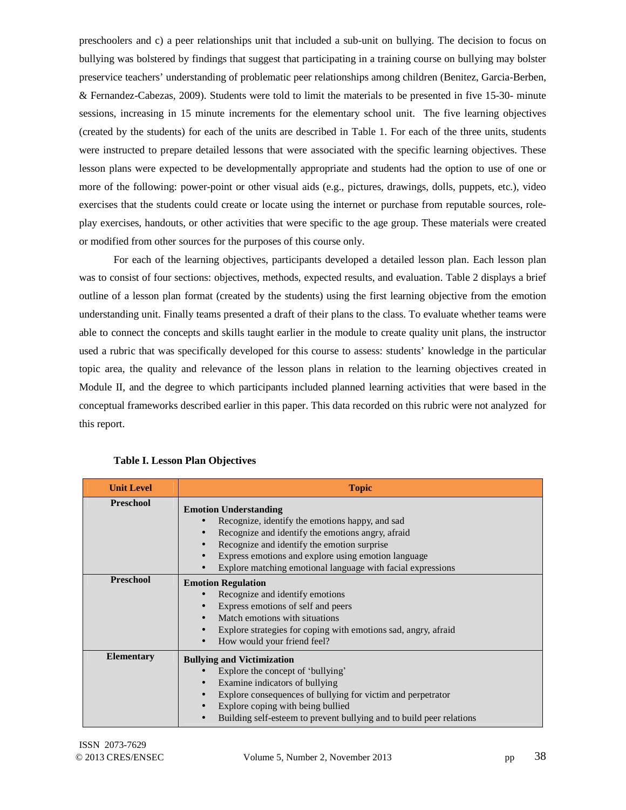preschoolers and c) a peer relationships unit that included a sub-unit on bullying. The decision to focus on bullying was bolstered by findings that suggest that participating in a training course on bullying may bolster preservice teachers' understanding of problematic peer relationships among children (Benitez, Garcia-Berben, & Fernandez-Cabezas, 2009). Students were told to limit the materials to be presented in five 15-30- minute sessions, increasing in 15 minute increments for the elementary school unit. The five learning objectives (created by the students) for each of the units are described in Table 1. For each of the three units, students were instructed to prepare detailed lessons that were associated with the specific learning objectives. These lesson plans were expected to be developmentally appropriate and students had the option to use of one or more of the following: power-point or other visual aids (e.g., pictures, drawings, dolls, puppets, etc.), video exercises that the students could create or locate using the internet or purchase from reputable sources, roleplay exercises, handouts, or other activities that were specific to the age group. These materials were created or modified from other sources for the purposes of this course only.

For each of the learning objectives, participants developed a detailed lesson plan. Each lesson plan was to consist of four sections: objectives, methods, expected results, and evaluation. Table 2 displays a brief outline of a lesson plan format (created by the students) using the first learning objective from the emotion understanding unit. Finally teams presented a draft of their plans to the class. To evaluate whether teams were able to connect the concepts and skills taught earlier in the module to create quality unit plans, the instructor used a rubric that was specifically developed for this course to assess: students' knowledge in the particular topic area, the quality and relevance of the lesson plans in relation to the learning objectives created in Module II, and the degree to which participants included planned learning activities that were based in the conceptual frameworks described earlier in this paper. This data recorded on this rubric were not analyzed for this report.

| <b>Unit Level</b> | <b>Topic</b>                                                                                                                                                                                                                                                                                              |
|-------------------|-----------------------------------------------------------------------------------------------------------------------------------------------------------------------------------------------------------------------------------------------------------------------------------------------------------|
| <b>Preschool</b>  | <b>Emotion Understanding</b><br>Recognize, identify the emotions happy, and sad<br>Recognize and identify the emotions angry, afraid<br>Recognize and identify the emotion surprise<br>Express emotions and explore using emotion language<br>Explore matching emotional language with facial expressions |
| <b>Preschool</b>  | <b>Emotion Regulation</b><br>Recognize and identify emotions<br>Express emotions of self and peers<br>Match emotions with situations<br>Explore strategies for coping with emotions sad, angry, afraid<br>How would your friend feel?                                                                     |
| <b>Elementary</b> | <b>Bullying and Victimization</b><br>Explore the concept of 'bullying'<br>Examine indicators of bullying<br>Explore consequences of bullying for victim and perpetrator<br>Explore coping with being bullied<br>Building self-esteem to prevent bullying and to build peer relations                      |

**Table I. Lesson Plan Objectives**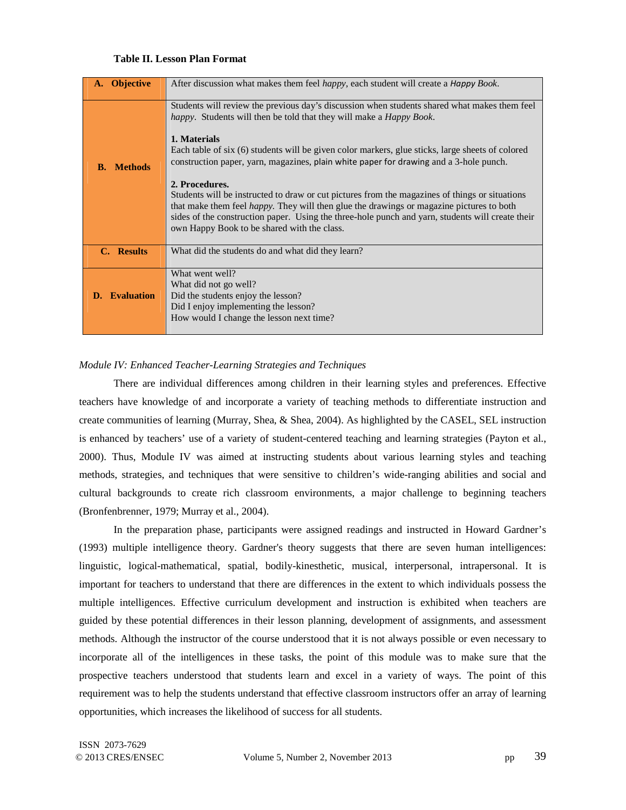# **Table II. Lesson Plan Format**

| <b>Objective</b>        | After discussion what makes them feel <i>happy</i> , each student will create a <i>Happy Book</i> .                                                                                                                                                                                                                                                                                                                                                                                                                                                                                                                                                                                                                                                                          |
|-------------------------|------------------------------------------------------------------------------------------------------------------------------------------------------------------------------------------------------------------------------------------------------------------------------------------------------------------------------------------------------------------------------------------------------------------------------------------------------------------------------------------------------------------------------------------------------------------------------------------------------------------------------------------------------------------------------------------------------------------------------------------------------------------------------|
| <b>Methods</b><br>B.    | Students will review the previous day's discussion when students shared what makes them feel<br><i>happy</i> . Students will then be told that they will make a <i>Happy Book</i> .<br>1. Materials<br>Each table of six (6) students will be given color markers, glue sticks, large sheets of colored<br>construction paper, yarn, magazines, plain white paper for drawing and a 3-hole punch.<br>2. Procedures.<br>Students will be instructed to draw or cut pictures from the magazines of things or situations<br>that make them feel <i>happy</i> . They will then glue the drawings or magazine pictures to both<br>sides of the construction paper. Using the three-hole punch and yarn, students will create their<br>own Happy Book to be shared with the class. |
| C. Results              | What did the students do and what did they learn?                                                                                                                                                                                                                                                                                                                                                                                                                                                                                                                                                                                                                                                                                                                            |
| <b>Evaluation</b><br>D. | What went well?<br>What did not go well?<br>Did the students enjoy the lesson?<br>Did I enjoy implementing the lesson?<br>How would I change the lesson next time?                                                                                                                                                                                                                                                                                                                                                                                                                                                                                                                                                                                                           |

# *Module IV: Enhanced Teacher-Learning Strategies and Techniques*

There are individual differences among children in their learning styles and preferences. Effective teachers have knowledge of and incorporate a variety of teaching methods to differentiate instruction and create communities of learning (Murray, Shea, & Shea, 2004). As highlighted by the CASEL, SEL instruction is enhanced by teachers' use of a variety of student-centered teaching and learning strategies (Payton et al., 2000). Thus, Module IV was aimed at instructing students about various learning styles and teaching methods, strategies, and techniques that were sensitive to children's wide-ranging abilities and social and cultural backgrounds to create rich classroom environments, a major challenge to beginning teachers (Bronfenbrenner, 1979; Murray et al., 2004).

In the preparation phase, participants were assigned readings and instructed in Howard Gardner's (1993) multiple intelligence theory. Gardner's theory suggests that there are seven human intelligences: linguistic, logical-mathematical, spatial, bodily-kinesthetic, musical, interpersonal, intrapersonal. It is important for teachers to understand that there are differences in the extent to which individuals possess the multiple intelligences. Effective curriculum development and instruction is exhibited when teachers are guided by these potential differences in their lesson planning, development of assignments, and assessment methods. Although the instructor of the course understood that it is not always possible or even necessary to incorporate all of the intelligences in these tasks, the point of this module was to make sure that the prospective teachers understood that students learn and excel in a variety of ways. The point of this requirement was to help the students understand that effective classroom instructors offer an array of learning opportunities, which increases the likelihood of success for all students.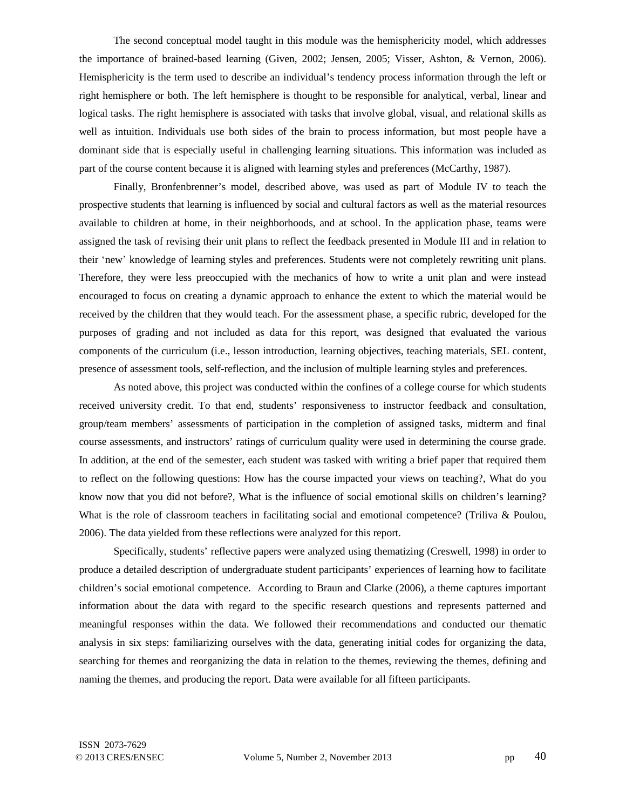The second conceptual model taught in this module was the hemisphericity model, which addresses the importance of brained-based learning (Given, 2002; Jensen, 2005; Visser, Ashton, & Vernon, 2006). Hemisphericity is the term used to describe an individual's tendency process information through the left or right hemisphere or both. The left hemisphere is thought to be responsible for analytical, verbal, linear and logical tasks. The right hemisphere is associated with tasks that involve global, visual, and relational skills as well as intuition. Individuals use both sides of the brain to process information, but most people have a dominant side that is especially useful in challenging learning situations. This information was included as part of the course content because it is aligned with learning styles and preferences (McCarthy, 1987).

Finally, Bronfenbrenner's model, described above, was used as part of Module IV to teach the prospective students that learning is influenced by social and cultural factors as well as the material resources available to children at home, in their neighborhoods, and at school. In the application phase, teams were assigned the task of revising their unit plans to reflect the feedback presented in Module III and in relation to their ʻnew' knowledge of learning styles and preferences. Students were not completely rewriting unit plans. Therefore, they were less preoccupied with the mechanics of how to write a unit plan and were instead encouraged to focus on creating a dynamic approach to enhance the extent to which the material would be received by the children that they would teach. For the assessment phase, a specific rubric, developed for the purposes of grading and not included as data for this report, was designed that evaluated the various components of the curriculum (i.e., lesson introduction, learning objectives, teaching materials, SEL content, presence of assessment tools, self-reflection, and the inclusion of multiple learning styles and preferences.

As noted above, this project was conducted within the confines of a college course for which students received university credit. To that end, students' responsiveness to instructor feedback and consultation, group/team members' assessments of participation in the completion of assigned tasks, midterm and final course assessments, and instructors' ratings of curriculum quality were used in determining the course grade. In addition, at the end of the semester, each student was tasked with writing a brief paper that required them to reflect on the following questions: How has the course impacted your views on teaching?, What do you know now that you did not before?, What is the influence of social emotional skills on children's learning? What is the role of classroom teachers in facilitating social and emotional competence? (Triliva & Poulou, 2006). The data yielded from these reflections were analyzed for this report.

Specifically, students' reflective papers were analyzed using thematizing (Creswell, 1998) in order to produce a detailed description of undergraduate student participants' experiences of learning how to facilitate children's social emotional competence. According to Braun and Clarke (2006), a theme captures important information about the data with regard to the specific research questions and represents patterned and meaningful responses within the data. We followed their recommendations and conducted our thematic analysis in six steps: familiarizing ourselves with the data, generating initial codes for organizing the data, searching for themes and reorganizing the data in relation to the themes, reviewing the themes, defining and naming the themes, and producing the report. Data were available for all fifteen participants.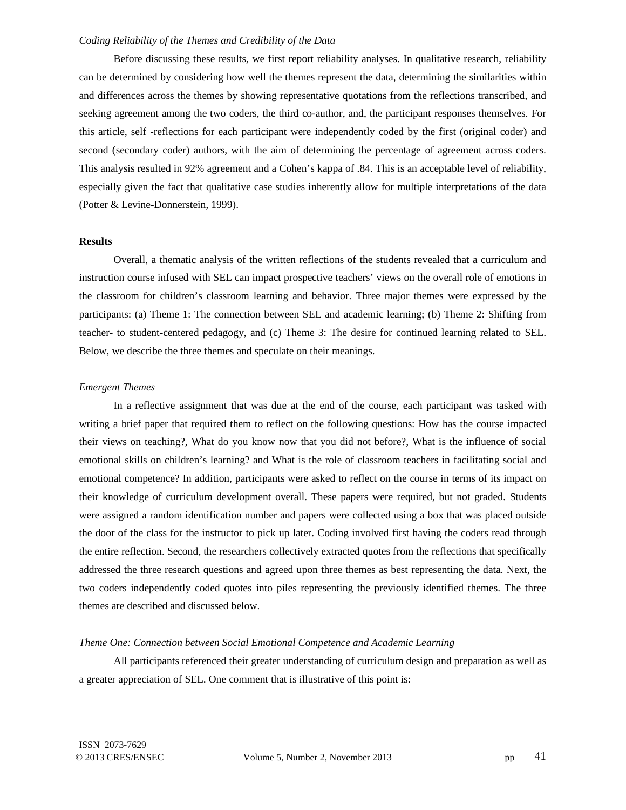## *Coding Reliability of the Themes and Credibility of the Data*

Before discussing these results, we first report reliability analyses. In qualitative research, reliability can be determined by considering how well the themes represent the data, determining the similarities within and differences across the themes by showing representative quotations from the reflections transcribed, and seeking agreement among the two coders, the third co-author, and, the participant responses themselves. For this article, self -reflections for each participant were independently coded by the first (original coder) and second (secondary coder) authors, with the aim of determining the percentage of agreement across coders. This analysis resulted in 92% agreement and a Cohen's kappa of .84. This is an acceptable level of reliability, especially given the fact that qualitative case studies inherently allow for multiple interpretations of the data (Potter & Levine-Donnerstein, 1999).

## **Results**

Overall, a thematic analysis of the written reflections of the students revealed that a curriculum and instruction course infused with SEL can impact prospective teachers' views on the overall role of emotions in the classroom for children's classroom learning and behavior. Three major themes were expressed by the participants: (a) Theme 1: The connection between SEL and academic learning; (b) Theme 2: Shifting from teacher- to student-centered pedagogy, and (c) Theme 3: The desire for continued learning related to SEL. Below, we describe the three themes and speculate on their meanings.

#### *Emergent Themes*

In a reflective assignment that was due at the end of the course, each participant was tasked with writing a brief paper that required them to reflect on the following questions: How has the course impacted their views on teaching?, What do you know now that you did not before?, What is the influence of social emotional skills on children's learning? and What is the role of classroom teachers in facilitating social and emotional competence? In addition, participants were asked to reflect on the course in terms of its impact on their knowledge of curriculum development overall. These papers were required, but not graded. Students were assigned a random identification number and papers were collected using a box that was placed outside the door of the class for the instructor to pick up later. Coding involved first having the coders read through the entire reflection. Second, the researchers collectively extracted quotes from the reflections that specifically addressed the three research questions and agreed upon three themes as best representing the data. Next, the two coders independently coded quotes into piles representing the previously identified themes. The three themes are described and discussed below.

## *Theme One: Connection between Social Emotional Competence and Academic Learning*

All participants referenced their greater understanding of curriculum design and preparation as well as a greater appreciation of SEL. One comment that is illustrative of this point is: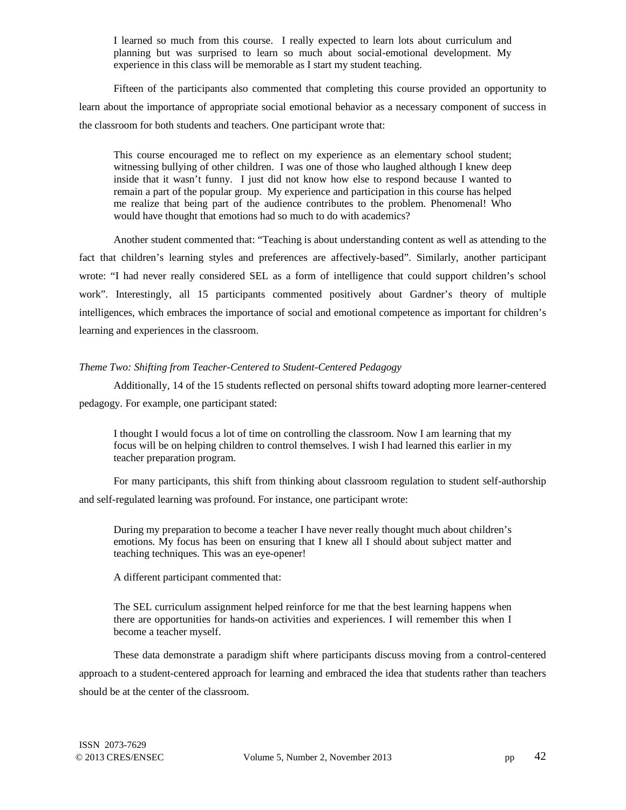I learned so much from this course. I really expected to learn lots about curriculum and planning but was surprised to learn so much about social-emotional development. My experience in this class will be memorable as I start my student teaching.

Fifteen of the participants also commented that completing this course provided an opportunity to learn about the importance of appropriate social emotional behavior as a necessary component of success in the classroom for both students and teachers. One participant wrote that:

This course encouraged me to reflect on my experience as an elementary school student; witnessing bullying of other children. I was one of those who laughed although I knew deep inside that it wasn't funny. I just did not know how else to respond because I wanted to remain a part of the popular group. My experience and participation in this course has helped me realize that being part of the audience contributes to the problem. Phenomenal! Who would have thought that emotions had so much to do with academics?

Another student commented that: "Teaching is about understanding content as well as attending to the fact that children's learning styles and preferences are affectively-based". Similarly, another participant wrote: "I had never really considered SEL as a form of intelligence that could support children's school work". Interestingly, all 15 participants commented positively about Gardner's theory of multiple intelligences, which embraces the importance of social and emotional competence as important for children's learning and experiences in the classroom.

# *Theme Two: Shifting from Teacher-Centered to Student-Centered Pedagogy*

Additionally, 14 of the 15 students reflected on personal shifts toward adopting more learner-centered pedagogy. For example, one participant stated:

I thought I would focus a lot of time on controlling the classroom. Now I am learning that my focus will be on helping children to control themselves. I wish I had learned this earlier in my teacher preparation program.

For many participants, this shift from thinking about classroom regulation to student self-authorship and self-regulated learning was profound. For instance, one participant wrote:

During my preparation to become a teacher I have never really thought much about children's emotions. My focus has been on ensuring that I knew all I should about subject matter and teaching techniques. This was an eye-opener!

A different participant commented that:

The SEL curriculum assignment helped reinforce for me that the best learning happens when there are opportunities for hands-on activities and experiences. I will remember this when I become a teacher myself.

These data demonstrate a paradigm shift where participants discuss moving from a control-centered approach to a student-centered approach for learning and embraced the idea that students rather than teachers should be at the center of the classroom.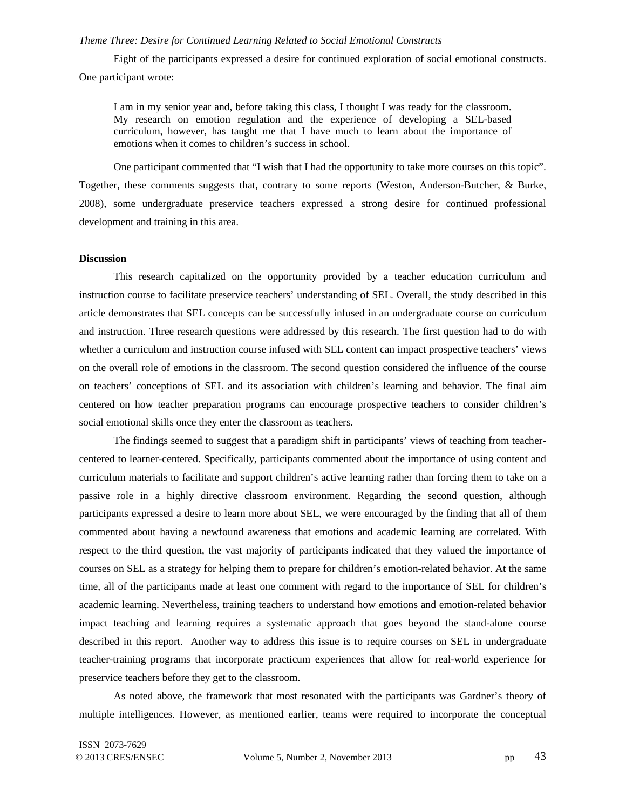## *Theme Three: Desire for Continued Learning Related to Social Emotional Constructs*

Eight of the participants expressed a desire for continued exploration of social emotional constructs. One participant wrote:

I am in my senior year and, before taking this class, I thought I was ready for the classroom. My research on emotion regulation and the experience of developing a SEL-based curriculum, however, has taught me that I have much to learn about the importance of emotions when it comes to children's success in school.

One participant commented that "I wish that I had the opportunity to take more courses on this topic". Together, these comments suggests that, contrary to some reports (Weston, Anderson-Butcher, & Burke, 2008), some undergraduate preservice teachers expressed a strong desire for continued professional development and training in this area.

# **Discussion**

This research capitalized on the opportunity provided by a teacher education curriculum and instruction course to facilitate preservice teachers' understanding of SEL. Overall, the study described in this article demonstrates that SEL concepts can be successfully infused in an undergraduate course on curriculum and instruction. Three research questions were addressed by this research. The first question had to do with whether a curriculum and instruction course infused with SEL content can impact prospective teachers' views on the overall role of emotions in the classroom. The second question considered the influence of the course on teachers' conceptions of SEL and its association with children's learning and behavior. The final aim centered on how teacher preparation programs can encourage prospective teachers to consider children's social emotional skills once they enter the classroom as teachers.

The findings seemed to suggest that a paradigm shift in participants' views of teaching from teachercentered to learner-centered. Specifically, participants commented about the importance of using content and curriculum materials to facilitate and support children's active learning rather than forcing them to take on a passive role in a highly directive classroom environment. Regarding the second question, although participants expressed a desire to learn more about SEL, we were encouraged by the finding that all of them commented about having a newfound awareness that emotions and academic learning are correlated. With respect to the third question, the vast majority of participants indicated that they valued the importance of courses on SEL as a strategy for helping them to prepare for children's emotion-related behavior. At the same time, all of the participants made at least one comment with regard to the importance of SEL for children's academic learning. Nevertheless, training teachers to understand how emotions and emotion-related behavior impact teaching and learning requires a systematic approach that goes beyond the stand-alone course described in this report. Another way to address this issue is to require courses on SEL in undergraduate teacher-training programs that incorporate practicum experiences that allow for real-world experience for preservice teachers before they get to the classroom.

As noted above, the framework that most resonated with the participants was Gardner's theory of multiple intelligences. However, as mentioned earlier, teams were required to incorporate the conceptual

ISSN 2073-7629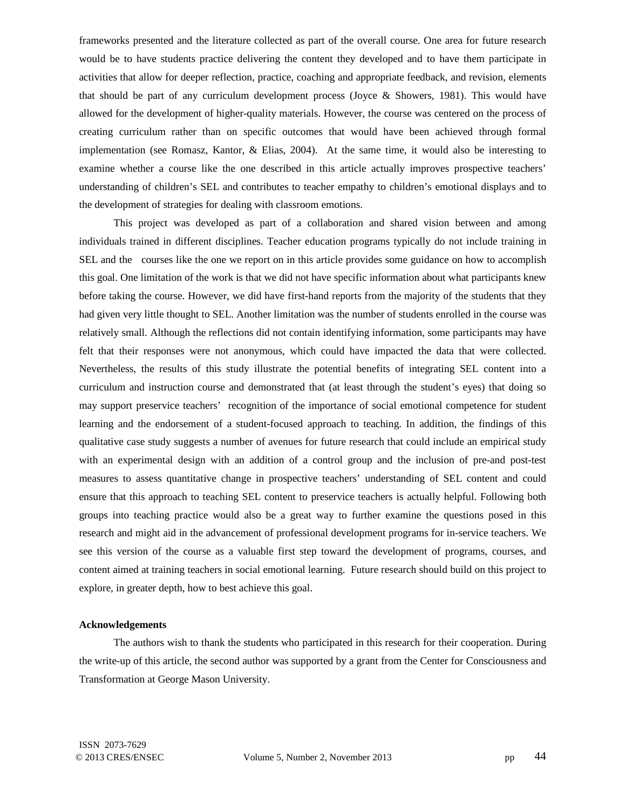frameworks presented and the literature collected as part of the overall course. One area for future research would be to have students practice delivering the content they developed and to have them participate in activities that allow for deeper reflection, practice, coaching and appropriate feedback, and revision, elements that should be part of any curriculum development process (Joyce & Showers, 1981). This would have allowed for the development of higher-quality materials. However, the course was centered on the process of creating curriculum rather than on specific outcomes that would have been achieved through formal implementation (see Romasz, Kantor, & Elias, 2004). At the same time, it would also be interesting to examine whether a course like the one described in this article actually improves prospective teachers' understanding of children's SEL and contributes to teacher empathy to children's emotional displays and to the development of strategies for dealing with classroom emotions.

This project was developed as part of a collaboration and shared vision between and among individuals trained in different disciplines. Teacher education programs typically do not include training in SEL and the courses like the one we report on in this article provides some guidance on how to accomplish this goal. One limitation of the work is that we did not have specific information about what participants knew before taking the course. However, we did have first-hand reports from the majority of the students that they had given very little thought to SEL. Another limitation was the number of students enrolled in the course was relatively small. Although the reflections did not contain identifying information, some participants may have felt that their responses were not anonymous, which could have impacted the data that were collected. Nevertheless, the results of this study illustrate the potential benefits of integrating SEL content into a curriculum and instruction course and demonstrated that (at least through the student's eyes) that doing so may support preservice teachers' recognition of the importance of social emotional competence for student learning and the endorsement of a student-focused approach to teaching. In addition, the findings of this qualitative case study suggests a number of avenues for future research that could include an empirical study with an experimental design with an addition of a control group and the inclusion of pre-and post-test measures to assess quantitative change in prospective teachers' understanding of SEL content and could ensure that this approach to teaching SEL content to preservice teachers is actually helpful. Following both groups into teaching practice would also be a great way to further examine the questions posed in this research and might aid in the advancement of professional development programs for in-service teachers. We see this version of the course as a valuable first step toward the development of programs, courses, and content aimed at training teachers in social emotional learning. Future research should build on this project to explore, in greater depth, how to best achieve this goal.

# **Acknowledgements**

The authors wish to thank the students who participated in this research for their cooperation. During the write-up of this article, the second author was supported by a grant from the Center for Consciousness and Transformation at George Mason University.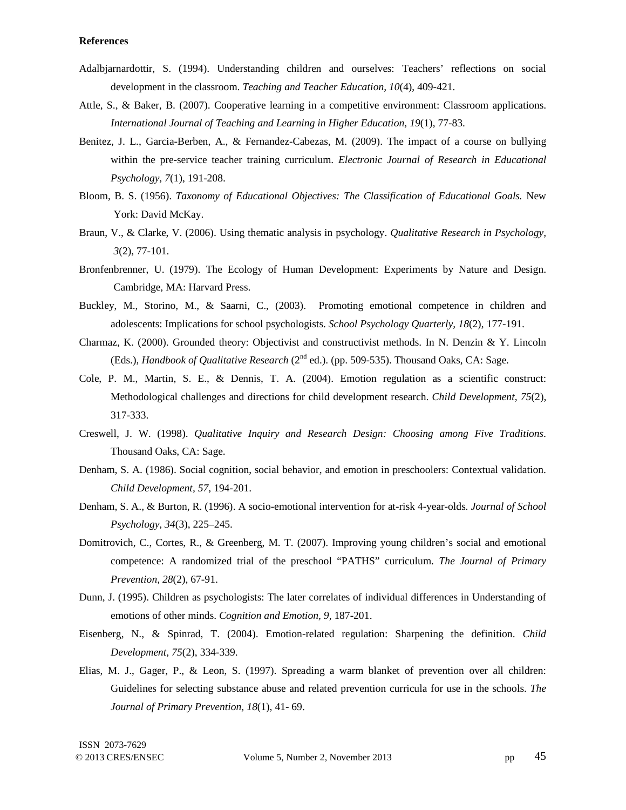# **References**

- Adalbjarnardottir, S. (1994). Understanding children and ourselves: Teachers' reflections on social development in the classroom. *Teaching and Teacher Education, 10*(4), 409-421.
- Attle, S., & Baker, B. (2007). Cooperative learning in a competitive environment: Classroom applications. *International Journal of Teaching and Learning in Higher Education, 19*(1), 77-83.
- Benitez, J. L., Garcia-Berben, A., & Fernandez-Cabezas, M. (2009). The impact of a course on bullying within the pre-service teacher training curriculum. *Electronic Journal of Research in Educational Psychology, 7*(1), 191-208.
- Bloom, B. S. (1956). *Taxonomy of Educational Objectives: The Classification of Educational Goals.* New York: David McKay.
- Braun, V., & Clarke, V. (2006). Using thematic analysis in psychology. *Qualitative Research in Psychology, 3*(2), 77-101.
- Bronfenbrenner, U. (1979). The Ecology of Human Development: Experiments by Nature and Design. Cambridge, MA: Harvard Press.
- Buckley, M., Storino, M., & Saarni, C., (2003). Promoting emotional competence in children and adolescents: Implications for school psychologists. *School Psychology Quarterly, 18*(2), 177-191.
- Charmaz, K. (2000). Grounded theory: Objectivist and constructivist methods. In N. Denzin & Y. Lincoln (Eds.), *Handbook of Qualitative Research* (2<sup>nd</sup> ed.). (pp. 509-535). Thousand Oaks, CA: Sage.
- Cole, P. M., Martin, S. E., & Dennis, T. A. (2004). Emotion regulation as a scientific construct: Methodological challenges and directions for child development research. *Child Development, 75*(2)*,* 317-333.
- Creswell, J. W. (1998). *Qualitative Inquiry and Research Design: Choosing among Five Traditions*. Thousand Oaks, CA: Sage.
- Denham, S. A. (1986). Social cognition, social behavior, and emotion in preschoolers: Contextual validation. *Child Development, 57,* 194-201.
- Denham, S. A., & Burton, R. (1996). A socio-emotional intervention for at-risk 4-year-olds. *Journal of School Psychology*, *34*(3), 225–245.
- Domitrovich, C., Cortes, R., & Greenberg, M. T. (2007). Improving young children's social and emotional competence: A randomized trial of the preschool "PATHS" curriculum. *The Journal of Primary Prevention, 28*(2), 67-91.
- Dunn, J. (1995). Children as psychologists: The later correlates of individual differences in Understanding of emotions of other minds. *Cognition and Emotion, 9,* 187-201.
- Eisenberg, N., & Spinrad, T. (2004). Emotion-related regulation: Sharpening the definition. *Child Development, 75*(2), 334-339.
- Elias, M. J., Gager, P., & Leon, S. (1997). Spreading a warm blanket of prevention over all children: Guidelines for selecting substance abuse and related prevention curricula for use in the schools. *The Journal of Primary Prevention, 18*(1), 41- 69.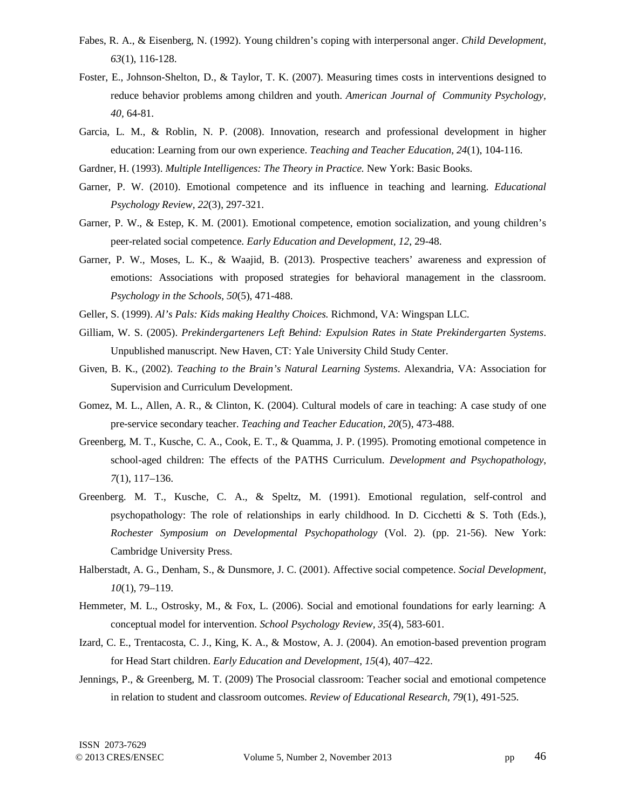- Fabes, R. A., & Eisenberg, N. (1992). Young children's coping with interpersonal anger. *Child Development, 63*(1), 116-128.
- Foster, E., Johnson-Shelton, D., & Taylor, T. K. (2007). Measuring times costs in interventions designed to reduce behavior problems among children and youth. *American Journal of Community Psychology, 40,* 64-81.
- Garcia, L. M., & Roblin, N. P. (2008). Innovation, research and professional development in higher education: Learning from our own experience. *Teaching and Teacher Education, 24*(1), 104-116.
- Gardner, H. (1993). *Multiple Intelligences: The Theory in Practice.* New York: Basic Books.
- Garner, P. W. (2010). Emotional competence and its influence in teaching and learning. *Educational Psychology Review, 22*(3), 297-321.
- Garner, P. W., & Estep, K. M. (2001). Emotional competence, emotion socialization, and young children's peer-related social competence. *Early Education and Development, 12*, 29-48.
- Garner, P. W., Moses, L. K., & Waajid, B. (2013). Prospective teachers' awareness and expression of emotions: Associations with proposed strategies for behavioral management in the classroom. *Psychology in the Schools, 50*(5), 471-488.
- Geller, S. (1999). *Al's Pals: Kids making Healthy Choices.* Richmond, VA: Wingspan LLC.
- Gilliam, W. S. (2005). *Prekindergarteners Left Behind: Expulsion Rates in State Prekindergarten Systems*. Unpublished manuscript. New Haven, CT: Yale University Child Study Center.
- Given, B. K., (2002). *Teaching to the Brain's Natural Learning Systems*. Alexandria, VA: Association for Supervision and Curriculum Development.
- Gomez, M. L., Allen, A. R., & Clinton, K. (2004). Cultural models of care in teaching: A case study of one pre-service secondary teacher. *Teaching and Teacher Education, 20*(5), 473-488.
- Greenberg, M. T., Kusche, C. A., Cook, E. T., & Quamma, J. P. (1995). Promoting emotional competence in school-aged children: The effects of the PATHS Curriculum. *Development and Psychopathology*, *7*(1), 117–136.
- Greenberg. M. T., Kusche, C. A., & Speltz, M. (1991). Emotional regulation, self-control and psychopathology: The role of relationships in early childhood. In D. Cicchetti & S. Toth (Eds.), *Rochester Symposium on Developmental Psychopathology* (Vol. 2). (pp. 21-56). New York: Cambridge University Press.
- Halberstadt, A. G., Denham, S., & Dunsmore, J. C. (2001). Affective social competence. *Social Development, 10*(1), 79–119.
- Hemmeter, M. L., Ostrosky, M., & Fox, L. (2006). Social and emotional foundations for early learning: A conceptual model for intervention. *School Psychology Review, 35*(4), 583-601.
- Izard, C. E., Trentacosta, C. J., King, K. A., & Mostow, A. J. (2004). An emotion-based prevention program for Head Start children. *Early Education and Development*, *15*(4), 407–422.
- Jennings, P., & Greenberg, M. T. (2009) The Prosocial classroom: Teacher social and emotional competence in relation to student and classroom outcomes. *Review of Educational Research, 79*(1), 491-525.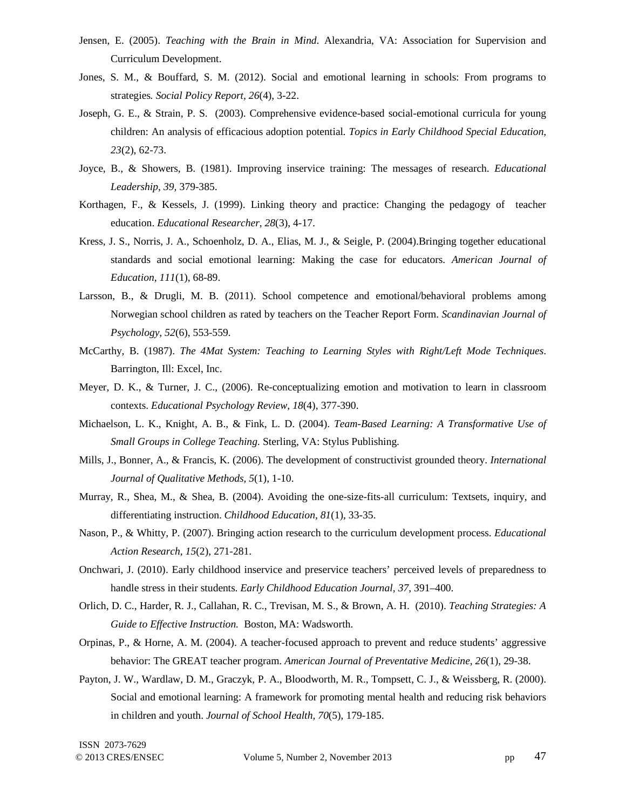- Jensen, E. (2005). *Teaching with the Brain in Mind*. Alexandria, VA: Association for Supervision and Curriculum Development.
- Jones, S. M., & Bouffard, S. M. (2012). Social and emotional learning in schools: From programs to strategies*. Social Policy Report, 26*(4), 3-22.
- Joseph, G. E., & Strain, P. S. (2003). Comprehensive evidence-based social-emotional curricula for young children: An analysis of efficacious adoption potential*. Topics in Early Childhood Special Education, 23*(2), 62-73.
- Joyce, B., & Showers, B. (1981). Improving inservice training: The messages of research. *Educational Leadership, 39,* 379-385.
- Korthagen, F., & Kessels, J. (1999). Linking theory and practice: Changing the pedagogy of teacher education. *Educational Researcher*, *28*(3), 4-17.
- Kress, J. S., Norris, J. A., Schoenholz, D. A., Elias, M. J., & Seigle, P. (2004).Bringing together educational standards and social emotional learning: Making the case for educators. *American Journal of Education, 111*(1), 68-89.
- Larsson, B., & Drugli, M. B. (2011). School competence and emotional/behavioral problems among Norwegian school children as rated by teachers on the Teacher Report Form. *Scandinavian Journal of Psychology, 52*(6), 553-559.
- McCarthy, B. (1987). *The 4Mat System: Teaching to Learning Styles with Right/Left Mode Techniques*. Barrington, Ill: Excel, Inc.
- Meyer, D. K., & Turner, J. C., (2006). Re-conceptualizing emotion and motivation to learn in classroom contexts. *Educational Psychology Review, 18*(4), 377-390.
- Michaelson, L. K., Knight, A. B., & Fink, L. D. (2004). *Team-Based Learning: A Transformative Use of Small Groups in College Teaching.* Sterling, VA: Stylus Publishing.
- Mills, J., Bonner, A., & Francis, K. (2006). The development of constructivist grounded theory. *International Journal of Qualitative Methods, 5*(1), 1-10.
- Murray, R., Shea, M., & Shea, B. (2004). Avoiding the one-size-fits-all curriculum: Textsets, inquiry, and differentiating instruction. *Childhood Education, 81*(1), 33-35.
- Nason, P., & Whitty, P. (2007). Bringing action research to the curriculum development process. *Educational Action Research, 15*(2), 271-281.
- Onchwari, J. (2010). Early childhood inservice and preservice teachers' perceived levels of preparedness to handle stress in their students. *Early Childhood Education Journal, 37*, 391–400.
- Orlich, D. C., Harder, R. J., Callahan, R. C., Trevisan, M. S., & Brown, A. H. (2010). *Teaching Strategies: A Guide to Effective Instruction.* Boston, MA: Wadsworth.
- Orpinas, P., & Horne, A. M. (2004). A teacher-focused approach to prevent and reduce students' aggressive behavior: The GREAT teacher program. *American Journal of Preventative Medicine, 26*(1), 29-38.
- Payton, J. W., Wardlaw, D. M., Graczyk, P. A., Bloodworth, M. R., Tompsett, C. J., & Weissberg, R. (2000). Social and emotional learning: A framework for promoting mental health and reducing risk behaviors in children and youth. *Journal of School Health, 70*(5), 179-185.